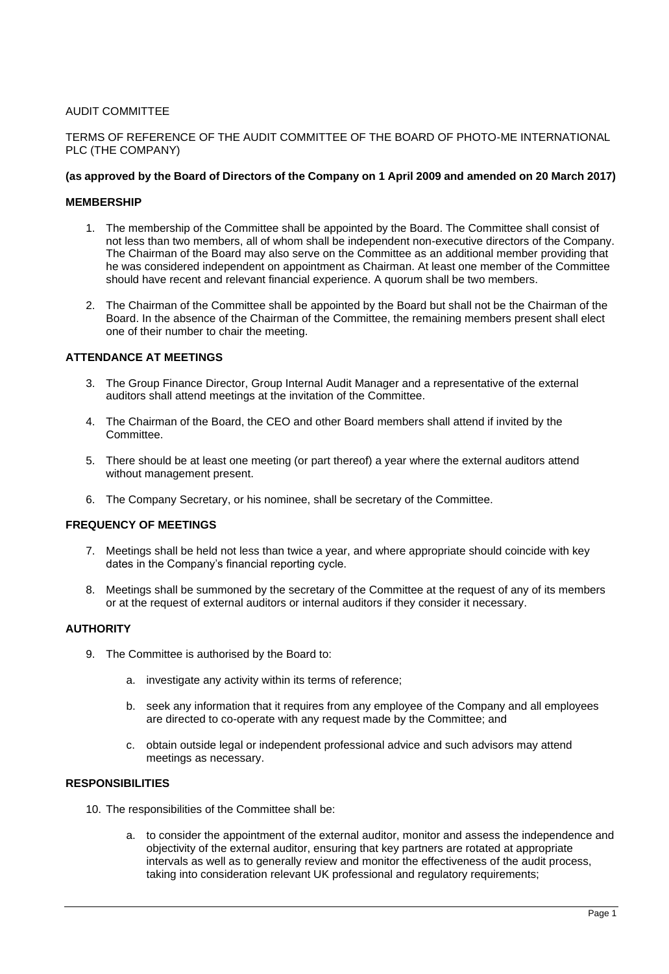# AUDIT COMMITTEE

## TERMS OF REFERENCE OF THE AUDIT COMMITTEE OF THE BOARD OF PHOTO-ME INTERNATIONAL PLC (THE COMPANY)

### **(as approved by the Board of Directors of the Company on 1 April 2009 and amended on 20 March 2017)**

### **MEMBERSHIP**

- 1. The membership of the Committee shall be appointed by the Board. The Committee shall consist of not less than two members, all of whom shall be independent non-executive directors of the Company. The Chairman of the Board may also serve on the Committee as an additional member providing that he was considered independent on appointment as Chairman. At least one member of the Committee should have recent and relevant financial experience. A quorum shall be two members.
- 2. The Chairman of the Committee shall be appointed by the Board but shall not be the Chairman of the Board. In the absence of the Chairman of the Committee, the remaining members present shall elect one of their number to chair the meeting.

### **ATTENDANCE AT MEETINGS**

- 3. The Group Finance Director, Group Internal Audit Manager and a representative of the external auditors shall attend meetings at the invitation of the Committee.
- 4. The Chairman of the Board, the CEO and other Board members shall attend if invited by the Committee.
- 5. There should be at least one meeting (or part thereof) a year where the external auditors attend without management present.
- 6. The Company Secretary, or his nominee, shall be secretary of the Committee.

### **FREQUENCY OF MEETINGS**

- 7. Meetings shall be held not less than twice a year, and where appropriate should coincide with key dates in the Company's financial reporting cycle.
- 8. Meetings shall be summoned by the secretary of the Committee at the request of any of its members or at the request of external auditors or internal auditors if they consider it necessary.

## **AUTHORITY**

- 9. The Committee is authorised by the Board to:
	- a. investigate any activity within its terms of reference;
	- b. seek any information that it requires from any employee of the Company and all employees are directed to co-operate with any request made by the Committee; and
	- c. obtain outside legal or independent professional advice and such advisors may attend meetings as necessary.

#### **RESPONSIBILITIES**

- 10. The responsibilities of the Committee shall be:
	- a. to consider the appointment of the external auditor, monitor and assess the independence and objectivity of the external auditor, ensuring that key partners are rotated at appropriate intervals as well as to generally review and monitor the effectiveness of the audit process, taking into consideration relevant UK professional and regulatory requirements;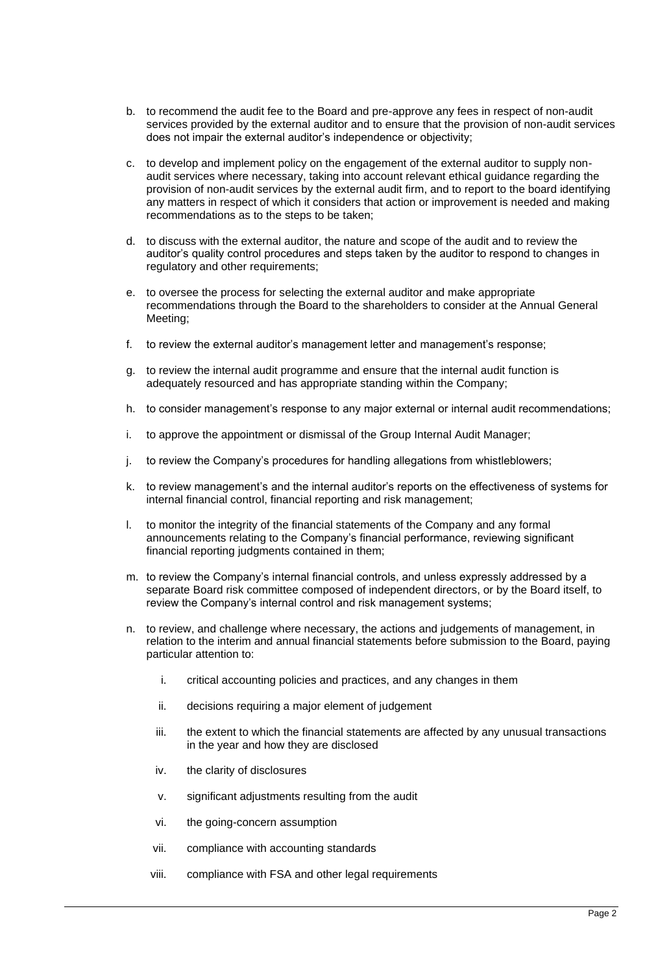- b. to recommend the audit fee to the Board and pre-approve any fees in respect of non-audit services provided by the external auditor and to ensure that the provision of non-audit services does not impair the external auditor's independence or objectivity;
- c. to develop and implement policy on the engagement of the external auditor to supply nonaudit services where necessary, taking into account relevant ethical guidance regarding the provision of non-audit services by the external audit firm, and to report to the board identifying any matters in respect of which it considers that action or improvement is needed and making recommendations as to the steps to be taken;
- d. to discuss with the external auditor, the nature and scope of the audit and to review the auditor's quality control procedures and steps taken by the auditor to respond to changes in regulatory and other requirements;
- e. to oversee the process for selecting the external auditor and make appropriate recommendations through the Board to the shareholders to consider at the Annual General Meeting;
- f. to review the external auditor's management letter and management's response;
- g. to review the internal audit programme and ensure that the internal audit function is adequately resourced and has appropriate standing within the Company;
- h. to consider management's response to any major external or internal audit recommendations;
- i. to approve the appointment or dismissal of the Group Internal Audit Manager;
- j. to review the Company's procedures for handling allegations from whistleblowers;
- k. to review management's and the internal auditor's reports on the effectiveness of systems for internal financial control, financial reporting and risk management;
- l. to monitor the integrity of the financial statements of the Company and any formal announcements relating to the Company's financial performance, reviewing significant financial reporting judgments contained in them;
- m. to review the Company's internal financial controls, and unless expressly addressed by a separate Board risk committee composed of independent directors, or by the Board itself, to review the Company's internal control and risk management systems;
- n. to review, and challenge where necessary, the actions and judgements of management, in relation to the interim and annual financial statements before submission to the Board, paying particular attention to:
	- i. critical accounting policies and practices, and any changes in them
	- ii. decisions requiring a major element of judgement
	- iii. the extent to which the financial statements are affected by any unusual transactions in the year and how they are disclosed
	- iv. the clarity of disclosures
	- v. significant adjustments resulting from the audit
	- vi. the going-concern assumption
	- vii. compliance with accounting standards
	- viii. compliance with FSA and other legal requirements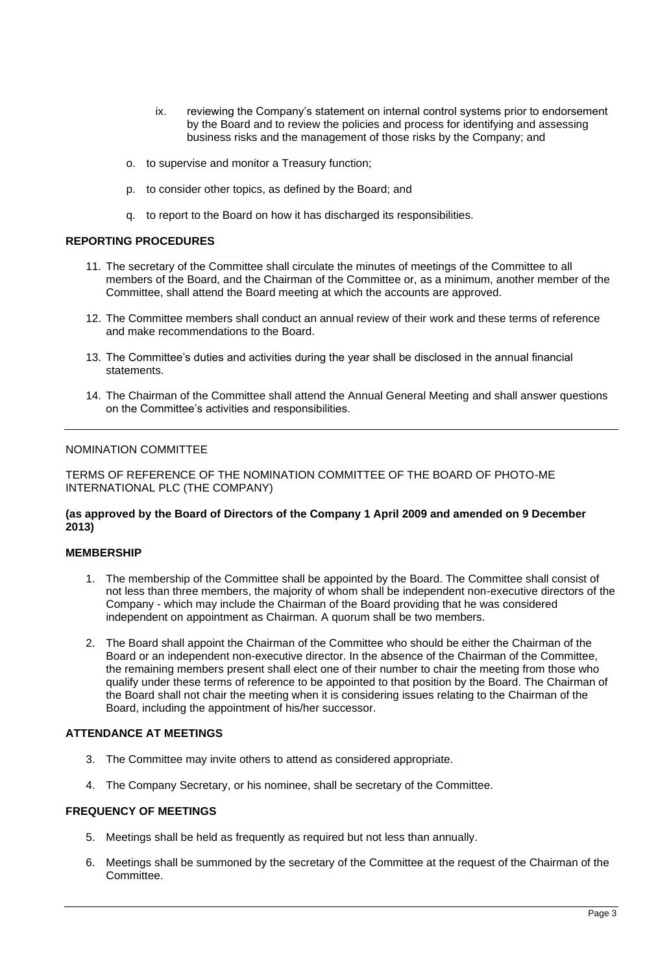- ix. reviewing the Company's statement on internal control systems prior to endorsement by the Board and to review the policies and process for identifying and assessing business risks and the management of those risks by the Company; and
- o. to supervise and monitor a Treasury function;
- p. to consider other topics, as defined by the Board; and
- q. to report to the Board on how it has discharged its responsibilities.

# **REPORTING PROCEDURES**

- 11. The secretary of the Committee shall circulate the minutes of meetings of the Committee to all members of the Board, and the Chairman of the Committee or, as a minimum, another member of the Committee, shall attend the Board meeting at which the accounts are approved.
- 12. The Committee members shall conduct an annual review of their work and these terms of reference and make recommendations to the Board.
- 13. The Committee's duties and activities during the year shall be disclosed in the annual financial statements.
- 14. The Chairman of the Committee shall attend the Annual General Meeting and shall answer questions on the Committee's activities and responsibilities.

# NOMINATION COMMITTEE

TERMS OF REFERENCE OF THE NOMINATION COMMITTEE OF THE BOARD OF PHOTO-ME INTERNATIONAL PLC (THE COMPANY)

### **(as approved by the Board of Directors of the Company 1 April 2009 and amended on 9 December 2013)**

### **MEMBERSHIP**

- 1. The membership of the Committee shall be appointed by the Board. The Committee shall consist of not less than three members, the majority of whom shall be independent non-executive directors of the Company - which may include the Chairman of the Board providing that he was considered independent on appointment as Chairman. A quorum shall be two members.
- 2. The Board shall appoint the Chairman of the Committee who should be either the Chairman of the Board or an independent non-executive director. In the absence of the Chairman of the Committee, the remaining members present shall elect one of their number to chair the meeting from those who qualify under these terms of reference to be appointed to that position by the Board. The Chairman of the Board shall not chair the meeting when it is considering issues relating to the Chairman of the Board, including the appointment of his/her successor.

# **ATTENDANCE AT MEETINGS**

- 3. The Committee may invite others to attend as considered appropriate.
- 4. The Company Secretary, or his nominee, shall be secretary of the Committee.

# **FREQUENCY OF MEETINGS**

- 5. Meetings shall be held as frequently as required but not less than annually.
- 6. Meetings shall be summoned by the secretary of the Committee at the request of the Chairman of the Committee.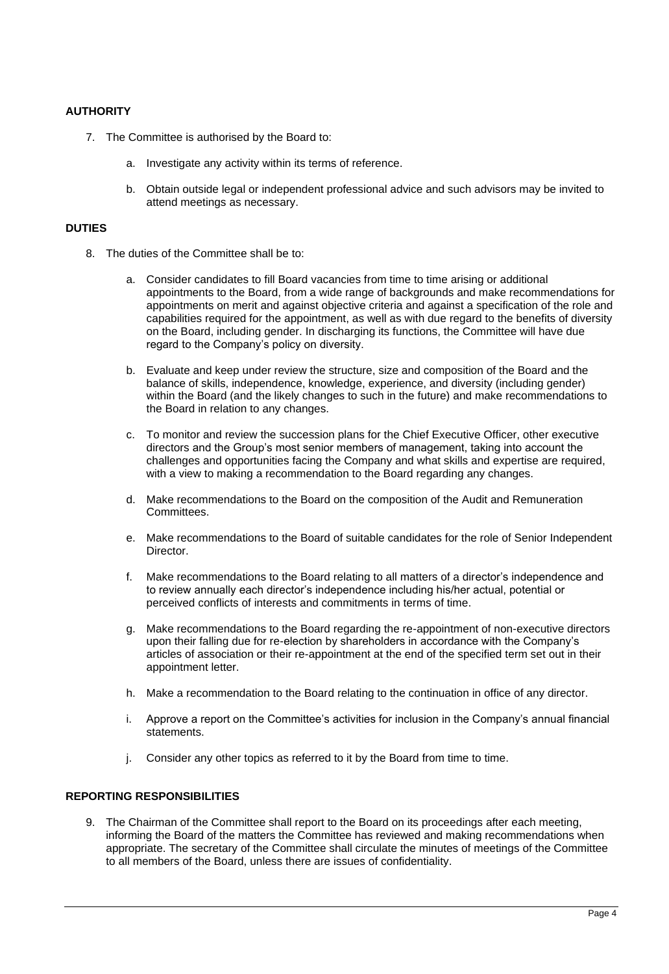# **AUTHORITY**

- 7. The Committee is authorised by the Board to:
	- a. Investigate any activity within its terms of reference.
	- b. Obtain outside legal or independent professional advice and such advisors may be invited to attend meetings as necessary.

# **DUTIES**

- 8. The duties of the Committee shall be to:
	- a. Consider candidates to fill Board vacancies from time to time arising or additional appointments to the Board, from a wide range of backgrounds and make recommendations for appointments on merit and against objective criteria and against a specification of the role and capabilities required for the appointment, as well as with due regard to the benefits of diversity on the Board, including gender. In discharging its functions, the Committee will have due regard to the Company's policy on diversity.
	- b. Evaluate and keep under review the structure, size and composition of the Board and the balance of skills, independence, knowledge, experience, and diversity (including gender) within the Board (and the likely changes to such in the future) and make recommendations to the Board in relation to any changes.
	- c. To monitor and review the succession plans for the Chief Executive Officer, other executive directors and the Group's most senior members of management, taking into account the challenges and opportunities facing the Company and what skills and expertise are required, with a view to making a recommendation to the Board regarding any changes.
	- d. Make recommendations to the Board on the composition of the Audit and Remuneration Committees.
	- e. Make recommendations to the Board of suitable candidates for the role of Senior Independent **Director**
	- f. Make recommendations to the Board relating to all matters of a director's independence and to review annually each director's independence including his/her actual, potential or perceived conflicts of interests and commitments in terms of time.
	- g. Make recommendations to the Board regarding the re-appointment of non-executive directors upon their falling due for re-election by shareholders in accordance with the Company's articles of association or their re-appointment at the end of the specified term set out in their appointment letter.
	- h. Make a recommendation to the Board relating to the continuation in office of any director.
	- i. Approve a report on the Committee's activities for inclusion in the Company's annual financial statements.
	- j. Consider any other topics as referred to it by the Board from time to time.

# **REPORTING RESPONSIBILITIES**

9. The Chairman of the Committee shall report to the Board on its proceedings after each meeting, informing the Board of the matters the Committee has reviewed and making recommendations when appropriate. The secretary of the Committee shall circulate the minutes of meetings of the Committee to all members of the Board, unless there are issues of confidentiality.